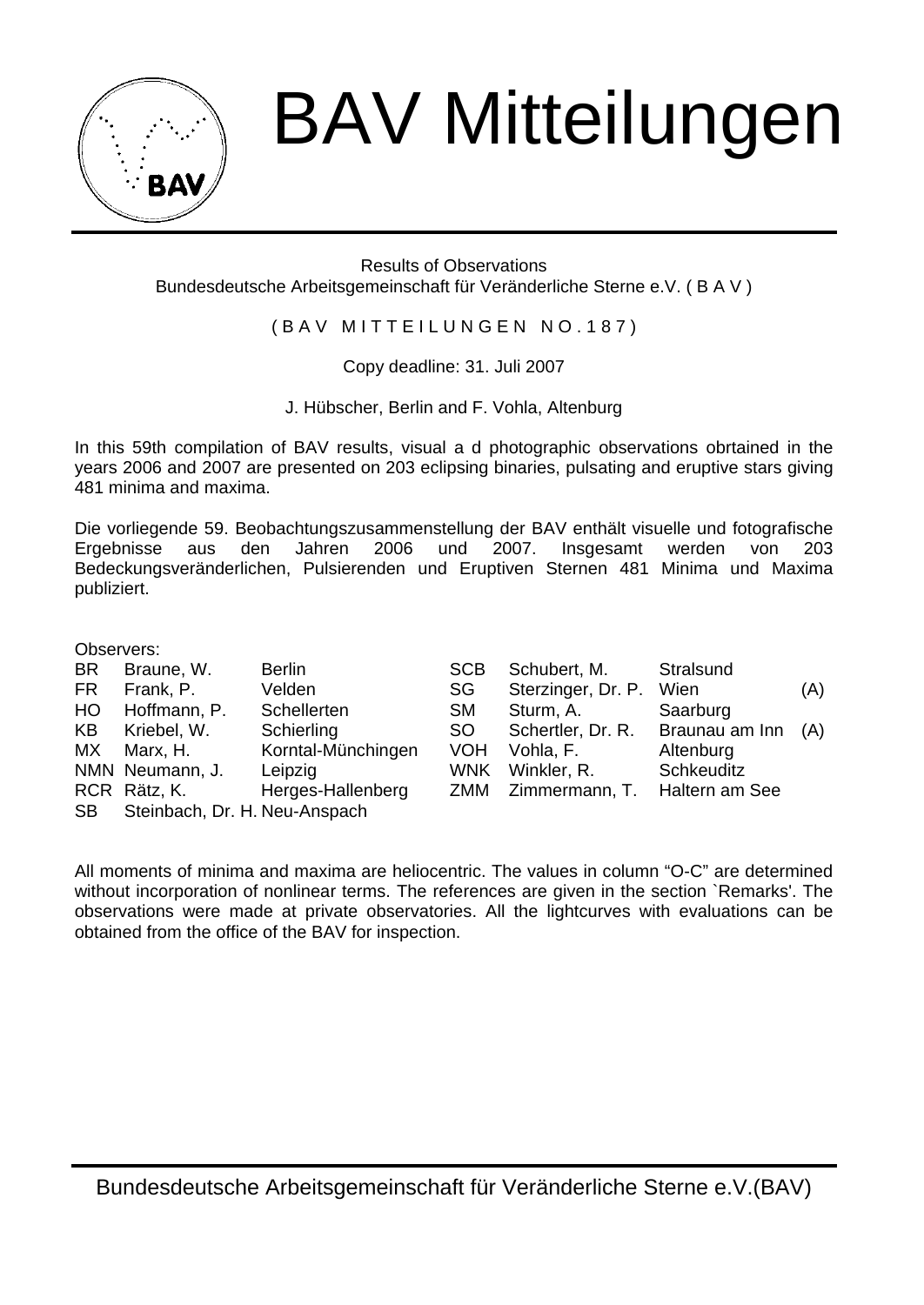

## BAV Mitteilungen

Results of Observations Bundesdeutsche Arbeitsgemeinschaft für Veränderliche Sterne e.V. ( B A V )

(BAV MITTEILUNGEN NO.187)

Copy deadline: 31. Juli 2007

J. Hübscher, Berlin and F. Vohla, Altenburg

In this 59th compilation of BAV results, visual a d photographic observations obrtained in the years 2006 and 2007 are presented on 203 eclipsing binaries, pulsating and eruptive stars giving 481 minima and maxima.

Die vorliegende 59. Beobachtungszusammenstellung der BAV enthält visuelle und fotografische Ergebnisse aus den Jahren 2006 und 2007. Insgesamt werden von 203 Bedeckungsveränderlichen, Pulsierenden und Eruptiven Sternen 481 Minima und Maxima publiziert.

Observers:

| <b>BR</b> | Braune, W.                    | Berlin             | <b>SCB</b> | Schubert, M.                         | Stralsund      |     |
|-----------|-------------------------------|--------------------|------------|--------------------------------------|----------------|-----|
| <b>FR</b> | Frank. P.                     | Velden             | SG         | Sterzinger, Dr. P. Wien              |                | (A) |
| HO.       | Hoffmann, P.                  | Schellerten        | <b>SM</b>  | Sturm. A.                            | Saarburg       |     |
| KB        | Kriebel, W.                   | Schierling         | SO.        | Schertler, Dr. R. Braunau am Inn (A) |                |     |
| МX        | Marx. H.                      | Korntal-Münchingen | VOH.       | Vohla, F.                            | Altenburg      |     |
|           | NMN Neumann, J.               | Leipzia            | WNK        | Winkler, R.                          | Schkeuditz     |     |
|           | RCR Rätz, K.                  | Herges-Hallenberg  |            | ZMM Zimmermann, T.                   | Haltern am See |     |
| SB.       | Steinbach, Dr. H. Neu-Anspach |                    |            |                                      |                |     |

All moments of minima and maxima are heliocentric. The values in column "O-C" are determined without incorporation of nonlinear terms. The references are given in the section `Remarks'. The observations were made at private observatories. All the lightcurves with evaluations can be obtained from the office of the BAV for inspection.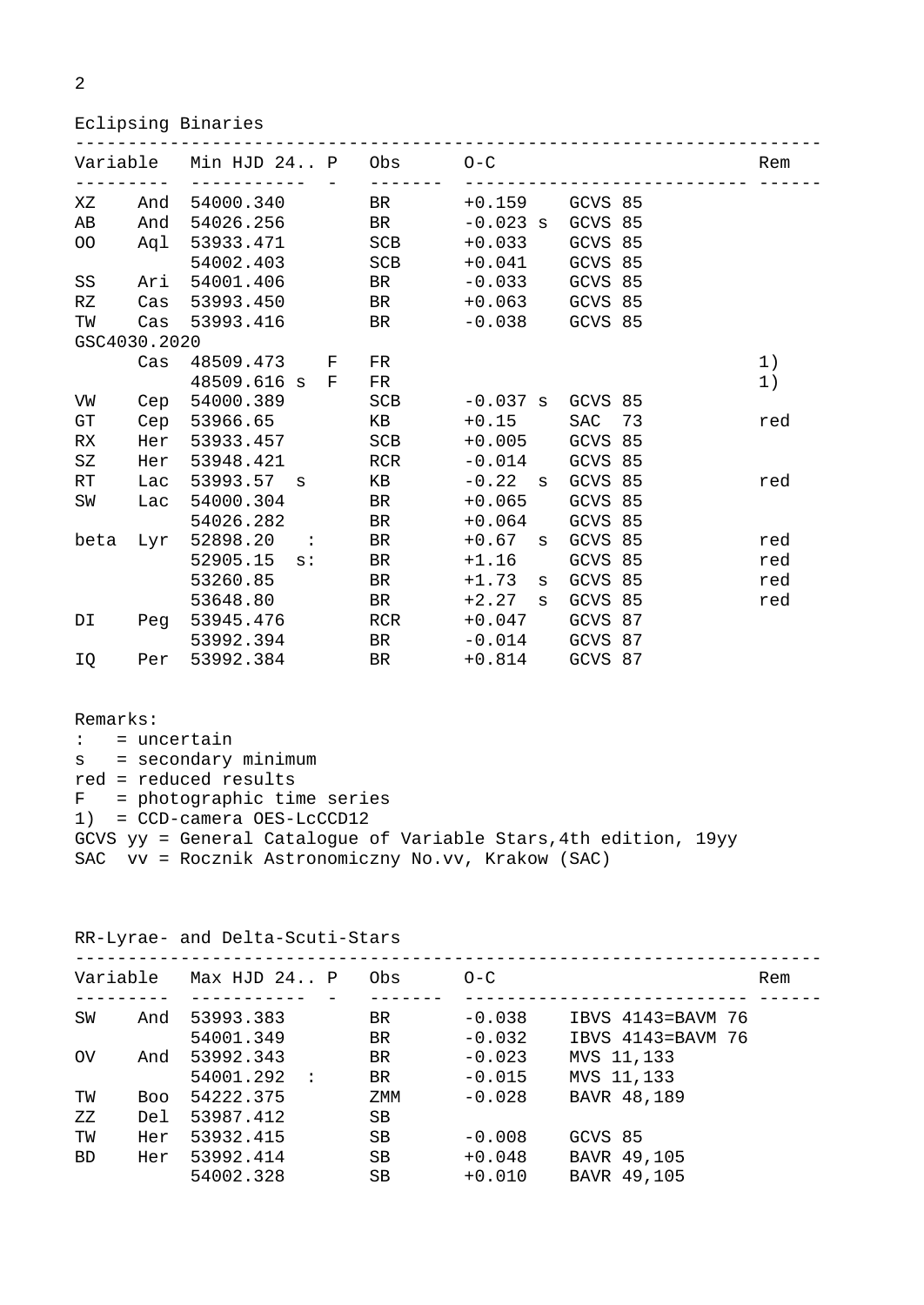2

## Eclipsing Binaries

|              |        | Variable Min HJD 24 P Obs 0-C      |  |                      |                   |         |  | Rem |
|--------------|--------|------------------------------------|--|----------------------|-------------------|---------|--|-----|
|              |        | XZ And 54000.340 BR +0.159 GCVS 85 |  |                      |                   |         |  |     |
| AB           | And    | 54026.256 BR                       |  |                      | $-0.023$ s        | GCVS 85 |  |     |
| OO           |        | Aql 53933.471 SCB +0.033           |  |                      |                   | GCVS 85 |  |     |
|              |        | 54002.403                          |  | SCB                  | +0.041 GCVS 85    |         |  |     |
| SS           | Ari    | 54001.406                          |  | BR - 0.033 GCVS 85   |                   |         |  |     |
| RZ           |        | Cas 53993.450 BR +0.063 GCVS 85    |  |                      |                   |         |  |     |
| TW           |        | Cas 53993.416 BR -0.038 GCVS 85    |  |                      |                   |         |  |     |
| GSC4030.2020 |        |                                    |  |                      |                   |         |  |     |
|              | $\cos$ | 48509.473 F                        |  | FR                   |                   |         |  | 1)  |
|              |        | 48509.616 s F                      |  | FR.                  |                   |         |  | 1)  |
| VW           |        | Cep 54000.389                      |  | SCB -0.037 s GCVS 85 |                   |         |  |     |
| GT           |        | Cep 53966.65                       |  | KB                   | $+0.15$           | SAC 73  |  | red |
| RX           | Her    | 53933.457                          |  | SCB                  | $+0.005$          | GCVS 85 |  |     |
| SZ           | Her    | 53948.421                          |  | RCR -0.014           |                   | GCVS 85 |  |     |
| RT           | Lac    | 53993.57 s                         |  | KB 1999 N            | $-0.22$ s         | GCVS 85 |  | red |
| SW           | Lac    | 54000.304                          |  | <b>BR</b>            | $+0.065$          | GCVS 85 |  |     |
|              |        | 54026.282                          |  | <b>BR</b>            | +0.064            | GCVS 85 |  |     |
|              |        | beta Lyr 52898.20 :                |  | BR <b>BR</b>         | +0.67 s           | GCVS 85 |  | red |
|              |        | $52905.15$ s:                      |  | BR <sub>a</sub>      | $+1.16$           | GCVS 85 |  | red |
|              |        | 53260.85                           |  | BR                   | $+1.73$<br>S      | GCVS 85 |  | red |
|              |        | 53648.80                           |  | BR                   | $+2.27$ s         | GCVS 85 |  | red |
| DI           |        | Peg 53945.476                      |  | RCR                  | $+0.047$          | GCVS 87 |  |     |
|              |        | 53992.394                          |  |                      |                   |         |  |     |
| IQ           |        | Per 53992.384                      |  |                      | BR +0.814 GCVS 87 |         |  |     |

Remarks: : = uncertain s = secondary minimum red = reduced results F = photographic time series 1) = CCD-camera OES-LcCCD12 GCVS yy = General Catalogue of Variable Stars,4th edition, 19yy SAC vv = Rocznik Astronomiczny No.vv, Krakow (SAC)

RR-Lyrae- and Delta-Scuti-Stars

| Variable    |            | Max HJD 24 P          | Obs       | $O - C$  |                   | Rem |
|-------------|------------|-----------------------|-----------|----------|-------------------|-----|
| SW          | And        | 53993.383             | BR.       | $-0.038$ | IBVS 4143=BAVM 76 |     |
|             |            | 54001.349             | BR.       | $-0.032$ | IBVS 4143=BAVM 76 |     |
| $_{\rm OV}$ | And        | 53992.343             | <b>BR</b> | $-0.023$ | MVS 11,133        |     |
|             |            | 54001.292<br>$\sim$ : | BR.       | $-0.015$ | MVS 11,133        |     |
| TW          | <b>Boo</b> | 54222.375             | ZMM       | $-0.028$ | BAVR 48,189       |     |
| ΖZ          | Del        | 53987.412             | SB        |          |                   |     |
| TW          | Her        | 53932.415             | <b>SB</b> | $-0.008$ | GCVS 85           |     |
| <b>BD</b>   | Her        | 53992.414             | SB        | $+0.048$ | BAVR 49,105       |     |
|             |            | 54002.328             | <b>SB</b> | $+0.010$ | BAVR 49,105       |     |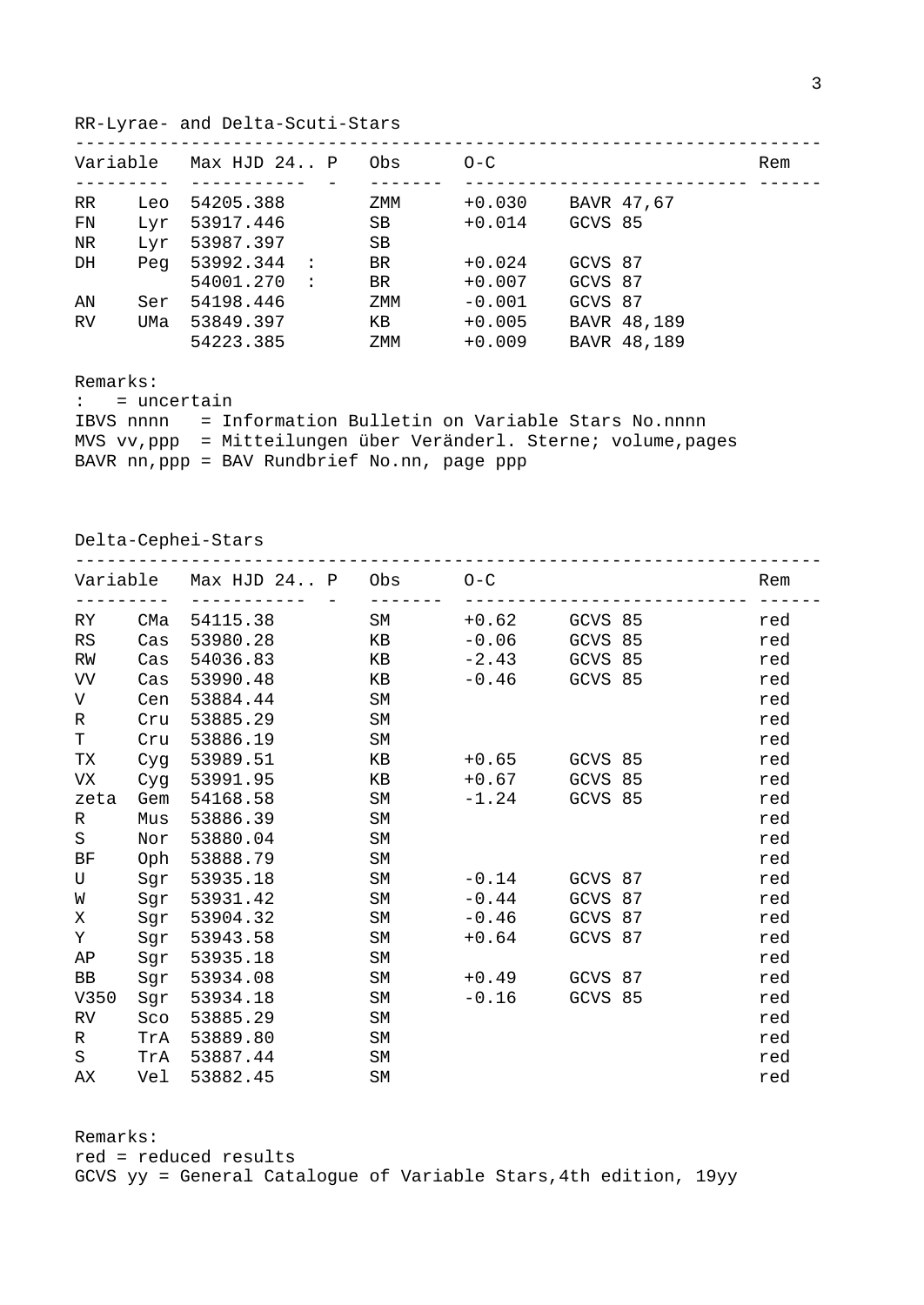RR-Lyrae- and Delta-Scuti-Stars

| Variable  |     | Max HJD 24 P           | Obs | $O-C$    |             |  |  |  |
|-----------|-----|------------------------|-----|----------|-------------|--|--|--|
| RR.       | Leo | 54205.388              | ZMM | $+0.030$ | BAVR 47,67  |  |  |  |
| FN        | Lyr | 53917.446              | SB  | $+0.014$ | GCVS 85     |  |  |  |
| NR.       | Lyr | 53987.397              | SB  |          |             |  |  |  |
| DH        | Peg | 53992.344:             | BR. | $+0.024$ | GCVS 87     |  |  |  |
|           |     | 54001.270<br>$\cdot$ : | BR. | $+0.007$ | GCVS 87     |  |  |  |
| AN        | Ser | 54198.446              | ZMM | $-0.001$ | GCVS 87     |  |  |  |
| <b>RV</b> | UMa | 53849.397              | KB. | $+0.005$ | BAVR 48,189 |  |  |  |
|           |     | 54223.385              | ZMM | $+0.009$ | BAVR 48,189 |  |  |  |
|           |     |                        |     |          |             |  |  |  |

Remarks:

: = uncertain

IBVS nnnn = Information Bulletin on Variable Stars No.nnnn MVS vv,ppp = Mitteilungen über Veränderl. Sterne; volume,pages BAVR nn,ppp = BAV Rundbrief No.nn, page ppp

Delta-Cephei-Stars

|      |        | Variable Max HJD 24 P Obs |           | $O-C$   |         |  | Rem |
|------|--------|---------------------------|-----------|---------|---------|--|-----|
| RY.  | CMa    | 54115.38                  | SM        | $+0.62$ | GCVS 85 |  | red |
| RS   | Cas    | 53980.28                  | КB        | $-0.06$ | GCVS 85 |  | red |
| RW   | $\cos$ | 54036.83                  | КB        | $-2.43$ | GCVS 85 |  | red |
| VV   | Cas    | 53990.48                  | KB        | $-0.46$ | GCVS 85 |  | red |
| V    | Cen    | 53884.44                  | <b>SM</b> |         |         |  | red |
| R    | Cru    | 53885.29                  | SM        |         |         |  | red |
| T    | Cru    | 53886.19                  | <b>SM</b> |         |         |  | red |
| TX   | Cyq    | 53989.51                  | КB        | $+0.65$ | GCVS 85 |  | red |
| VX   | Cyg    | 53991.95                  | KB        | $+0.67$ | GCVS 85 |  | red |
| zeta | Gem    | 54168.58                  | SM        | $-1.24$ | GCVS 85 |  | red |
| R    | Mus    | 53886.39                  | <b>SM</b> |         |         |  | red |
| S    | Nor    | 53880.04                  | <b>SM</b> |         |         |  | red |
| ВF   | Oph    | 53888.79                  | SM        |         |         |  | red |
| U    | Sgr    | 53935.18                  | SM        | $-0.14$ | GCVS 87 |  | red |
| W    | Sgr    | 53931.42                  | <b>SM</b> | $-0.44$ | GCVS 87 |  | red |
| Χ    | Sgr    | 53904.32                  | SΜ        | -0.46   | GCVS 87 |  | red |
| Υ    | Sgr    | 53943.58                  | SM        | $+0.64$ | GCVS 87 |  | red |
| AP   | Sgr    | 53935.18                  | <b>SM</b> |         |         |  | red |
| BB   | Sgr    | 53934.08                  | SM        | +0.49   | GCVS 87 |  | red |
| V350 | Sgr    | 53934.18                  | SM        | $-0.16$ | GCVS 85 |  | red |
| RV.  | Sco    | 53885.29                  | SM        |         |         |  | red |
| R    | TrA    | 53889.80                  | SM        |         |         |  | red |
| S    | TrA    | 53887.44                  | SM        |         |         |  | red |
| AX   | Vel    | 53882.45                  | SM        |         |         |  | red |

Remarks: red = reduced results GCVS yy = General Catalogue of Variable Stars,4th edition, 19yy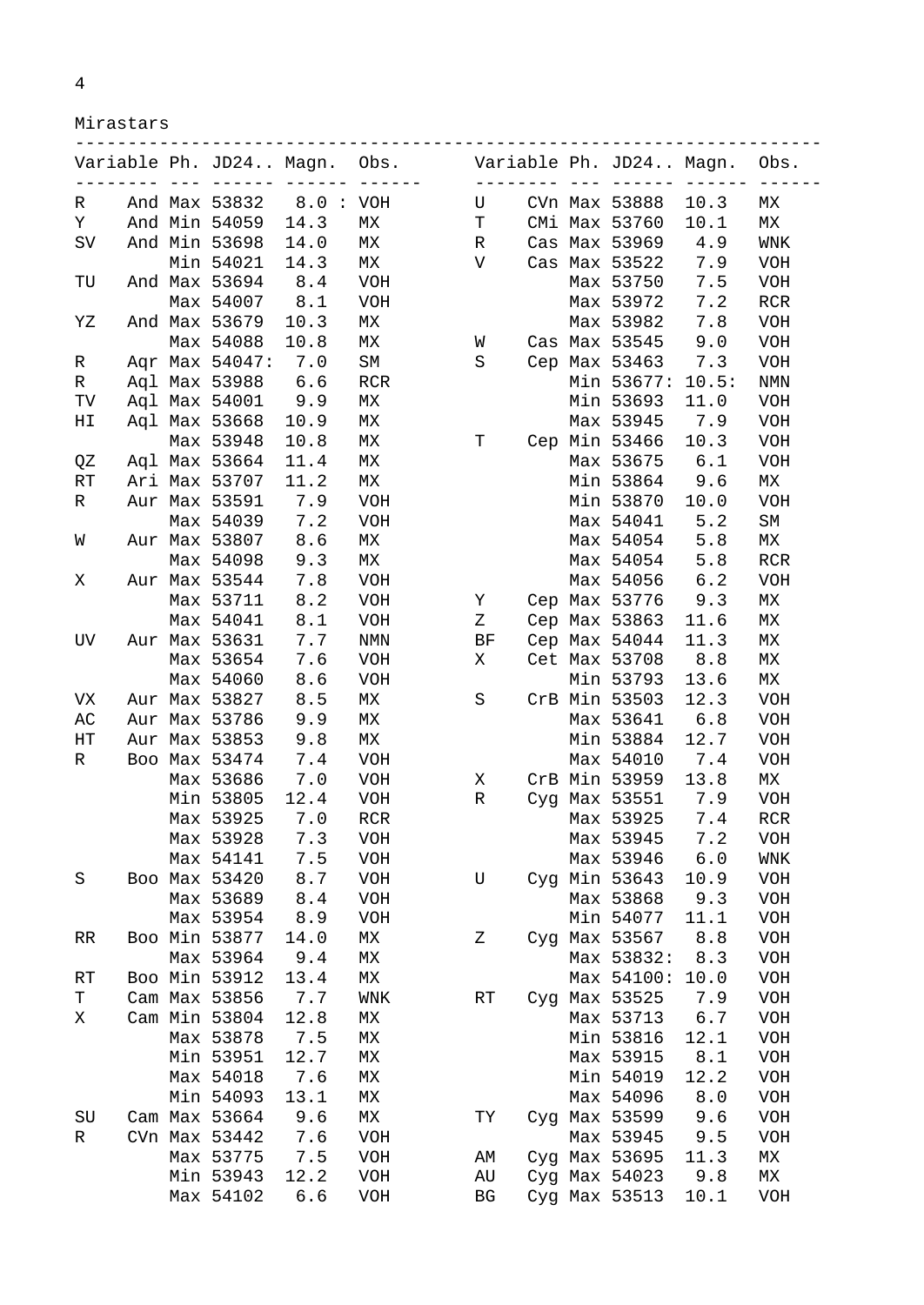Mirastars

| Variable Ph. JD24 Magn. |  |                                |             | Obs.                            |              |                   |                                                                                                                                                                                                                                                                                                                                                                                              | Variable Ph. JD24 Magn.       |                 | Obs.                            |
|-------------------------|--|--------------------------------|-------------|---------------------------------|--------------|-------------------|----------------------------------------------------------------------------------------------------------------------------------------------------------------------------------------------------------------------------------------------------------------------------------------------------------------------------------------------------------------------------------------------|-------------------------------|-----------------|---------------------------------|
| R                       |  | And Max 53832                  | <br>8.0:VOH | $- - - -$                       | U            | $- - - - - - - -$ | $\frac{1}{2} \frac{1}{2} \frac{1}{2} \frac{1}{2} \frac{1}{2} \frac{1}{2} \frac{1}{2} \frac{1}{2} \frac{1}{2} \frac{1}{2} \frac{1}{2} \frac{1}{2} \frac{1}{2} \frac{1}{2} \frac{1}{2} \frac{1}{2} \frac{1}{2} \frac{1}{2} \frac{1}{2} \frac{1}{2} \frac{1}{2} \frac{1}{2} \frac{1}{2} \frac{1}{2} \frac{1}{2} \frac{1}{2} \frac{1}{2} \frac{1}{2} \frac{1}{2} \frac{1}{2} \frac{1}{2} \frac{$ | CVn Max 53888                 | 222 222<br>10.3 | МX                              |
| Υ                       |  | And Min 54059                  | 14.3        | $\ensuremath{\text{MX}}\xspace$ | $\mathbf T$  |                   |                                                                                                                                                                                                                                                                                                                                                                                              | CMi Max 53760                 | 10.1            | МX                              |
| SV                      |  | And Min 53698                  | 14.0        | МX                              | R            |                   |                                                                                                                                                                                                                                                                                                                                                                                              | Cas Max 53969                 | 4.9             | <b>WNK</b>                      |
|                         |  | Min 54021                      | 14.3        | МX                              | $\mathbf{V}$ |                   |                                                                                                                                                                                                                                                                                                                                                                                              | Cas Max 53522                 | 7.9             | <b>VOH</b>                      |
| TU                      |  | And Max 53694                  | 8.4         | <b>VOH</b>                      |              |                   |                                                                                                                                                                                                                                                                                                                                                                                              | Max 53750                     | 7.5             | <b>VOH</b>                      |
|                         |  | Max 54007                      | 8.1         | <b>VOH</b>                      |              |                   |                                                                                                                                                                                                                                                                                                                                                                                              | Max 53972                     | 7.2             | <b>RCR</b>                      |
| ΥZ                      |  | And Max 53679                  | 10.3        | MX                              |              |                   |                                                                                                                                                                                                                                                                                                                                                                                              | Max 53982                     | 7.8             | <b>VOH</b>                      |
|                         |  | Max 54088                      | 10.8        | МX                              | W            |                   |                                                                                                                                                                                                                                                                                                                                                                                              | Cas Max 53545                 | 9.0             | <b>VOH</b>                      |
|                         |  | Aqr Max 54047:                 | 7.0         | SΜ                              | S            |                   |                                                                                                                                                                                                                                                                                                                                                                                              | Cep Max 53463                 | 7.3             | <b>VOH</b>                      |
| R                       |  |                                | 6.6         |                                 |              |                   |                                                                                                                                                                                                                                                                                                                                                                                              |                               |                 |                                 |
| R                       |  | Agl Max 53988<br>Agl Max 54001 | 9.9         | RCR<br>MX                       |              |                   |                                                                                                                                                                                                                                                                                                                                                                                              | Min 53677: 10.5:<br>Min 53693 |                 | NMN                             |
| TV                      |  |                                |             | МX                              |              |                   |                                                                                                                                                                                                                                                                                                                                                                                              |                               | 11.0            | VOH                             |
| ΗI                      |  | Aql Max 53668                  | 10.9        |                                 | T            |                   |                                                                                                                                                                                                                                                                                                                                                                                              | Max 53945                     | 7.9             | <b>VOH</b>                      |
|                         |  | Max 53948                      | 10.8        | MX                              |              |                   |                                                                                                                                                                                                                                                                                                                                                                                              | Cep Min 53466                 | 10.3            | VOH                             |
| QZ                      |  | Aql Max 53664                  | 11.4        | $\ensuremath{\text{MX}}\xspace$ |              |                   |                                                                                                                                                                                                                                                                                                                                                                                              | Max 53675                     | 6.1             | VOH                             |
| RT                      |  | Ari Max 53707                  | 11.2        | MX                              |              |                   |                                                                                                                                                                                                                                                                                                                                                                                              | Min 53864                     | 9.6             | МX                              |
| R                       |  | Aur Max 53591                  | 7.9         | <b>VOH</b>                      |              |                   |                                                                                                                                                                                                                                                                                                                                                                                              | Min 53870                     | 10.0            | <b>VOH</b>                      |
|                         |  | Max 54039                      | 7.2         | <b>VOH</b>                      |              |                   |                                                                                                                                                                                                                                                                                                                                                                                              | Max 54041                     | 5.2             | SΜ                              |
| W                       |  | Aur Max 53807                  | 8.6         | MX                              |              |                   |                                                                                                                                                                                                                                                                                                                                                                                              | Max 54054                     | 5.8             | МX                              |
|                         |  | Max 54098                      | 9.3         | MX                              |              |                   |                                                                                                                                                                                                                                                                                                                                                                                              | Max 54054                     | 5.8             | <b>RCR</b>                      |
| Χ                       |  | Aur Max 53544                  | 7.8         | VOH                             |              |                   |                                                                                                                                                                                                                                                                                                                                                                                              | Max 54056                     | 6.2             | VOH                             |
|                         |  | Max 53711                      | 8.2         | <b>VOH</b>                      | Υ            |                   |                                                                                                                                                                                                                                                                                                                                                                                              | Cep Max 53776                 | 9.3             | МX                              |
|                         |  | Max 54041                      | 8.1         | <b>VOH</b>                      | Ζ            |                   |                                                                                                                                                                                                                                                                                                                                                                                              | Cep Max 53863                 | 11.6            | МX                              |
| UV                      |  | Aur Max 53631                  | 7.7         | $\texttt{NMN}$                  | BF           |                   |                                                                                                                                                                                                                                                                                                                                                                                              | Cep Max 54044                 | 11.3            | МX                              |
|                         |  | Max 53654                      | 7.6         | <b>VOH</b>                      | X            |                   |                                                                                                                                                                                                                                                                                                                                                                                              | Cet Max 53708                 | 8.8             | MX                              |
|                         |  | Max 54060                      | 8.6         | <b>VOH</b>                      |              |                   |                                                                                                                                                                                                                                                                                                                                                                                              | Min 53793                     | 13.6            | МX                              |
| VX                      |  | Aur Max 53827                  | 8.5         | МX                              | S            |                   |                                                                                                                                                                                                                                                                                                                                                                                              | CrB Min 53503                 | 12.3            | <b>VOH</b>                      |
| AC                      |  | Aur Max 53786                  | 9.9         | МX                              |              |                   |                                                                                                                                                                                                                                                                                                                                                                                              | Max 53641                     | 6.8             | <b>VOH</b>                      |
| НT                      |  | Aur Max 53853                  | 9.8         | МX                              |              |                   |                                                                                                                                                                                                                                                                                                                                                                                              | Min 53884                     | 12.7            | VOH                             |
| R                       |  | Boo Max 53474                  | 7.4         | <b>VOH</b>                      |              |                   |                                                                                                                                                                                                                                                                                                                                                                                              | Max 54010                     | 7.4             | VOH                             |
|                         |  | Max 53686                      | 7.0         | <b>VOH</b>                      | Χ            |                   |                                                                                                                                                                                                                                                                                                                                                                                              | CrB Min 53959                 | 13.8            | МX                              |
|                         |  | Min 53805                      | 12.4        | <b>VOH</b>                      | R            |                   |                                                                                                                                                                                                                                                                                                                                                                                              | Cyg Max 53551                 | 7.9             | <b>VOH</b>                      |
|                         |  | Max 53925                      | 7.0         | RCR                             |              |                   |                                                                                                                                                                                                                                                                                                                                                                                              | Max 53925                     | 7.4             | <b>RCR</b>                      |
|                         |  | Max 53928                      | 7.3         | <b>VOH</b>                      |              |                   |                                                                                                                                                                                                                                                                                                                                                                                              | Max 53945                     | 7.2             | VOH                             |
|                         |  | Max 54141                      | 7.5         | <b>VOH</b>                      |              |                   |                                                                                                                                                                                                                                                                                                                                                                                              | Max 53946                     | 6.0             | WNK                             |
| S                       |  | Boo Max 53420                  | 8.7         | <b>VOH</b>                      | U            |                   |                                                                                                                                                                                                                                                                                                                                                                                              | Cyg Min 53643                 | 10.9            | <b>VOH</b>                      |
|                         |  | Max 53689                      | 8.4         | <b>VOH</b>                      |              |                   |                                                                                                                                                                                                                                                                                                                                                                                              | Max 53868                     | 9.3             | <b>VOH</b>                      |
|                         |  | Max 53954                      | 8.9         | <b>VOH</b>                      |              |                   |                                                                                                                                                                                                                                                                                                                                                                                              | Min 54077                     | 11.1            | <b>VOH</b>                      |
| RR                      |  | Boo Min 53877                  | 14.0        | MX                              | Ζ            |                   |                                                                                                                                                                                                                                                                                                                                                                                              | Cyg Max 53567                 | 8.8             | <b>VOH</b>                      |
|                         |  | Max 53964                      | 9.4         | МX                              |              |                   |                                                                                                                                                                                                                                                                                                                                                                                              | Max 53832:                    | 8.3             | <b>VOH</b>                      |
| RT                      |  | Boo Min 53912                  | 13.4        | МX                              |              |                   |                                                                                                                                                                                                                                                                                                                                                                                              | Max 54100: 10.0               |                 | <b>VOH</b>                      |
| Т                       |  | Cam Max 53856                  | 7.7         | WNK                             | RT           |                   |                                                                                                                                                                                                                                                                                                                                                                                              | Cyg Max 53525                 | 7.9             | VOH                             |
| Χ                       |  | Cam Min 53804                  | 12.8        | МX                              |              |                   |                                                                                                                                                                                                                                                                                                                                                                                              | Max 53713                     | 6.7             | <b>VOH</b>                      |
|                         |  | Max 53878                      | 7.5         | MX                              |              |                   |                                                                                                                                                                                                                                                                                                                                                                                              | Min 53816                     | 12.1            | VOH                             |
|                         |  | Min 53951                      | 12.7        | MX                              |              |                   |                                                                                                                                                                                                                                                                                                                                                                                              | Max 53915                     | 8.1             | <b>VOH</b>                      |
|                         |  | Max 54018                      | 7.6         | MX                              |              |                   |                                                                                                                                                                                                                                                                                                                                                                                              | Min 54019                     | 12.2            | <b>VOH</b>                      |
|                         |  | Min 54093                      | 13.1        | $\ensuremath{\text{MX}}\xspace$ |              |                   |                                                                                                                                                                                                                                                                                                                                                                                              | Max 54096                     | 8.0             | VOH                             |
| SU                      |  | Cam Max 53664                  | 9.6         | MX                              | TY           |                   |                                                                                                                                                                                                                                                                                                                                                                                              | Cyg Max 53599                 | 9.6             | <b>VOH</b>                      |
| R                       |  | CVn Max 53442                  | 7.6         | <b>VOH</b>                      |              |                   |                                                                                                                                                                                                                                                                                                                                                                                              | Max 53945                     | 9.5             | VOH                             |
|                         |  | Max 53775                      | 7.5         | <b>VOH</b>                      | AМ           |                   |                                                                                                                                                                                                                                                                                                                                                                                              | Cyg Max 53695                 | 11.3            | МX                              |
|                         |  | Min 53943                      | 12.2        | <b>VOH</b>                      | AU           |                   |                                                                                                                                                                                                                                                                                                                                                                                              | Cyg Max 54023                 | 9.8             | $\ensuremath{\text{MX}}\xspace$ |
|                         |  | Max 54102                      | 6.6         | <b>VOH</b>                      | BG           |                   |                                                                                                                                                                                                                                                                                                                                                                                              | Cyg Max 53513                 | 10.1            | <b>VOH</b>                      |
|                         |  |                                |             |                                 |              |                   |                                                                                                                                                                                                                                                                                                                                                                                              |                               |                 |                                 |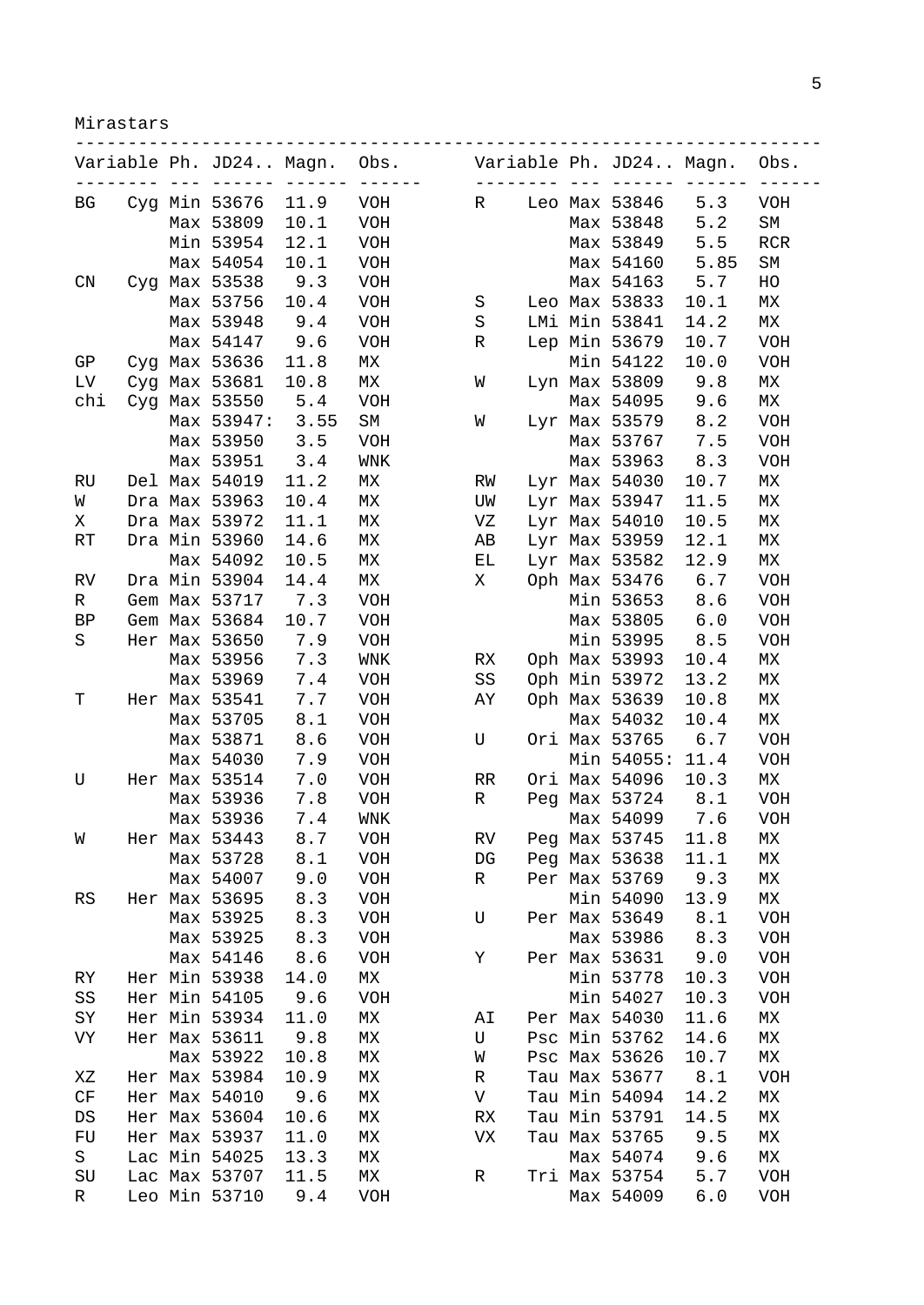Mirastars

|     |  | Variable Ph. JD24 Magn. |      | Obs.<br>$- - -$ |           | $\begin{array}{ccccccccc} \multicolumn{2}{c}{} & \multicolumn{2}{c}{} & \multicolumn{2}{c}{} & \multicolumn{2}{c}{} & \multicolumn{2}{c}{} & \multicolumn{2}{c}{} & \multicolumn{2}{c}{} & \multicolumn{2}{c}{} & \multicolumn{2}{c}{} & \multicolumn{2}{c}{} & \multicolumn{2}{c}{} & \multicolumn{2}{c}{} & \multicolumn{2}{c}{} & \multicolumn{2}{c}{} & \multicolumn{2}{c}{} & \multicolumn{2}{c}{} & \multicolumn{2}{c}{} & \multicolumn{2}{c}{} & \multicolumn{2}{c}{} & \mult$ | Variable Ph. JD24 Magn. |      | Obs.             |
|-----|--|-------------------------|------|-----------------|-----------|---------------------------------------------------------------------------------------------------------------------------------------------------------------------------------------------------------------------------------------------------------------------------------------------------------------------------------------------------------------------------------------------------------------------------------------------------------------------------------------|-------------------------|------|------------------|
| ВG  |  | Cyg Min 53676           | 11.9 | <b>VOH</b>      | R         |                                                                                                                                                                                                                                                                                                                                                                                                                                                                                       | Leo Max 53846           | 5.3  | <b>VOH</b>       |
|     |  | Max 53809               | 10.1 | <b>VOH</b>      |           |                                                                                                                                                                                                                                                                                                                                                                                                                                                                                       | Max 53848               | 5.2  | SM               |
|     |  | Min 53954               | 12.1 | <b>VOH</b>      |           |                                                                                                                                                                                                                                                                                                                                                                                                                                                                                       | Max 53849               | 5.5  | <b>RCR</b>       |
|     |  | Max 54054               | 10.1 | <b>VOH</b>      |           |                                                                                                                                                                                                                                                                                                                                                                                                                                                                                       | Max 54160               | 5.85 | SM               |
| CN  |  | Cyg Max 53538           | 9.3  | <b>VOH</b>      |           |                                                                                                                                                                                                                                                                                                                                                                                                                                                                                       | Max 54163               | 5.7  | HO               |
|     |  | Max 53756               | 10.4 | <b>VOH</b>      | S         |                                                                                                                                                                                                                                                                                                                                                                                                                                                                                       | Leo Max 53833           | 10.1 | МX               |
|     |  | Max 53948               | 9.4  | <b>VOH</b>      | S         |                                                                                                                                                                                                                                                                                                                                                                                                                                                                                       | LMi Min 53841           | 14.2 | МX               |
|     |  | Max 54147               | 9.6  | VOH             | R         |                                                                                                                                                                                                                                                                                                                                                                                                                                                                                       | Lep Min 53679           | 10.7 | VOH              |
| GP  |  | Cyg Max 53636           | 11.8 | MX              |           |                                                                                                                                                                                                                                                                                                                                                                                                                                                                                       | Min 54122               | 10.0 | <b>VOH</b>       |
| LV  |  | Cyg Max 53681           | 10.8 | МX              | W         |                                                                                                                                                                                                                                                                                                                                                                                                                                                                                       | Lyn Max 53809           | 9.8  | МX               |
| chi |  | Cyg Max 53550           | 5.4  | <b>VOH</b>      |           |                                                                                                                                                                                                                                                                                                                                                                                                                                                                                       | Max 54095               | 9.6  | МX               |
|     |  | Max 53947:              | 3.55 | SM              | W         |                                                                                                                                                                                                                                                                                                                                                                                                                                                                                       | Lyr Max 53579           | 8.2  | <b>VOH</b>       |
|     |  | Max 53950               | 3.5  | <b>VOH</b>      |           |                                                                                                                                                                                                                                                                                                                                                                                                                                                                                       | Max 53767               | 7.5  | <b>VOH</b>       |
|     |  | Max 53951               | 3.4  | WNK             |           |                                                                                                                                                                                                                                                                                                                                                                                                                                                                                       | Max 53963               | 8.3  | VOH              |
| RU  |  | Del Max 54019           | 11.2 | МX              | RW        |                                                                                                                                                                                                                                                                                                                                                                                                                                                                                       | Lyr Max 54030           | 10.7 | МX               |
| W   |  | Dra Max 53963           | 10.4 | МX              | UW        |                                                                                                                                                                                                                                                                                                                                                                                                                                                                                       | Lyr Max 53947           | 11.5 | МX               |
| Χ   |  | Dra Max 53972           | 11.1 | МX              | VZ        |                                                                                                                                                                                                                                                                                                                                                                                                                                                                                       |                         | 10.5 | МX               |
| RT  |  | Dra Min 53960           |      |                 |           |                                                                                                                                                                                                                                                                                                                                                                                                                                                                                       | Lyr Max $54010$         | 12.1 | МX               |
|     |  |                         | 14.6 | МX              | AВ        |                                                                                                                                                                                                                                                                                                                                                                                                                                                                                       | Lyr Max 53959           |      |                  |
|     |  | Max 54092               | 10.5 | MX              | ЕL        |                                                                                                                                                                                                                                                                                                                                                                                                                                                                                       | Lyr Max 53582           | 12.9 | ${\tt M}{\tt X}$ |
| RV  |  | Dra Min 53904           | 14.4 | MX              | Χ         |                                                                                                                                                                                                                                                                                                                                                                                                                                                                                       | Oph Max 53476           | 6.7  | VOH              |
| R   |  | Gem Max 53717           | 7.3  | <b>VOH</b>      |           |                                                                                                                                                                                                                                                                                                                                                                                                                                                                                       | Min 53653               | 8.6  | <b>VOH</b>       |
| ΒP  |  | Gem Max 53684           | 10.7 | <b>VOH</b>      |           |                                                                                                                                                                                                                                                                                                                                                                                                                                                                                       | Max 53805               | 6.0  | VOH              |
| S   |  | Her Max 53650           | 7.9  | <b>VOH</b>      |           |                                                                                                                                                                                                                                                                                                                                                                                                                                                                                       | Min 53995               | 8.5  | VOH              |
|     |  | Max 53956               | 7.3  | WNK             | RX        |                                                                                                                                                                                                                                                                                                                                                                                                                                                                                       | Oph Max 53993           | 10.4 | МX               |
|     |  | Max 53969               | 7.4  | <b>VOH</b>      | SS        |                                                                                                                                                                                                                                                                                                                                                                                                                                                                                       | Oph Min 53972           | 13.2 | МX               |
| Т   |  | Her Max 53541           | 7.7  | <b>VOH</b>      | AY        |                                                                                                                                                                                                                                                                                                                                                                                                                                                                                       | Oph Max 53639           | 10.8 | МX               |
|     |  | Max 53705               | 8.1  | <b>VOH</b>      |           |                                                                                                                                                                                                                                                                                                                                                                                                                                                                                       | Max 54032               | 10.4 | МX               |
|     |  | Max 53871               | 8.6  | <b>VOH</b>      | U         |                                                                                                                                                                                                                                                                                                                                                                                                                                                                                       | Ori Max 53765           | 6.7  | <b>VOH</b>       |
|     |  | Max 54030               | 7.9  | <b>VOH</b>      |           |                                                                                                                                                                                                                                                                                                                                                                                                                                                                                       | Min 54055: 11.4         |      | <b>VOH</b>       |
| U   |  | Her Max 53514           | 7.0  | <b>VOH</b>      | RR        |                                                                                                                                                                                                                                                                                                                                                                                                                                                                                       | Ori Max 54096           | 10.3 | МX               |
|     |  | Max 53936               | 7.8  | VOH             | R         |                                                                                                                                                                                                                                                                                                                                                                                                                                                                                       | Peg Max 53724           | 8.1  | VOH              |
|     |  | Max 53936               | 7.4  | WNK             |           |                                                                                                                                                                                                                                                                                                                                                                                                                                                                                       | Max 54099               | 7.6  | <b>VOH</b>       |
| W   |  | Her Max 53443           | 8.7  | VOH             | RV        |                                                                                                                                                                                                                                                                                                                                                                                                                                                                                       | Peg Max 53745           | 11.8 | МX               |
|     |  | Max 53728               | 8.1  | <b>VOH</b>      | DG        |                                                                                                                                                                                                                                                                                                                                                                                                                                                                                       | Peg Max 53638           | 11.1 | МX               |
|     |  | Max 54007               | 9.0  | <b>VOH</b>      | R         |                                                                                                                                                                                                                                                                                                                                                                                                                                                                                       | Per Max 53769           | 9.3  | МX               |
| RS  |  | Her Max 53695           | 8.3  | VOH             |           |                                                                                                                                                                                                                                                                                                                                                                                                                                                                                       | Min 54090               | 13.9 | МX               |
|     |  | Max 53925               | 8.3  | <b>VOH</b>      | U         |                                                                                                                                                                                                                                                                                                                                                                                                                                                                                       | Per Max 53649           | 8.1  | <b>VOH</b>       |
|     |  | Max 53925               | 8.3  | <b>VOH</b>      |           |                                                                                                                                                                                                                                                                                                                                                                                                                                                                                       | Max 53986               | 8.3  | <b>VOH</b>       |
|     |  | Max 54146               | 8.6  | <b>VOH</b>      | Υ         |                                                                                                                                                                                                                                                                                                                                                                                                                                                                                       | Per Max 53631           | 9.0  | <b>VOH</b>       |
| RY  |  | Her Min 53938           | 14.0 | МX              |           |                                                                                                                                                                                                                                                                                                                                                                                                                                                                                       | Min 53778               | 10.3 | <b>VOH</b>       |
| SS  |  | Her Min 54105           | 9.6  | <b>VOH</b>      |           |                                                                                                                                                                                                                                                                                                                                                                                                                                                                                       | Min 54027               | 10.3 | VOH              |
| SΥ  |  | Her Min 53934           | 11.0 | МX              | ΑI        |                                                                                                                                                                                                                                                                                                                                                                                                                                                                                       | Per Max 54030           | 11.6 | МX               |
| VY  |  | Her Max 53611           | 9.8  | МX              | U         |                                                                                                                                                                                                                                                                                                                                                                                                                                                                                       | Psc Min 53762           | 14.6 | МX               |
|     |  | Max 53922               | 10.8 | МX              | W         |                                                                                                                                                                                                                                                                                                                                                                                                                                                                                       | Psc Max 53626           | 10.7 | МX               |
| ΧZ  |  | Her Max 53984           | 10.9 | MX              | R         |                                                                                                                                                                                                                                                                                                                                                                                                                                                                                       | Tau Max 53677           | 8.1  | <b>VOH</b>       |
| CF  |  | Her Max 54010           | 9.6  | MX              | V         |                                                                                                                                                                                                                                                                                                                                                                                                                                                                                       | Tau Min 54094           | 14.2 | МX               |
| DS  |  | Her Max 53604           | 10.6 | МX              | <b>RX</b> |                                                                                                                                                                                                                                                                                                                                                                                                                                                                                       | Tau Min 53791           | 14.5 | MX               |
| FU  |  | Her Max 53937           | 11.0 | MX              | VX        |                                                                                                                                                                                                                                                                                                                                                                                                                                                                                       | Tau Max 53765           | 9.5  | МX               |
| S   |  | Lac Min 54025           | 13.3 | МX              |           |                                                                                                                                                                                                                                                                                                                                                                                                                                                                                       | Max 54074               | 9.6  | МX               |
| SU  |  | Lac Max 53707           | 11.5 | MX              | R         |                                                                                                                                                                                                                                                                                                                                                                                                                                                                                       | Tri Max 53754           | 5.7  | <b>VOH</b>       |
| R   |  | Leo Min 53710           | 9.4  | <b>VOH</b>      |           |                                                                                                                                                                                                                                                                                                                                                                                                                                                                                       | Max 54009               | 6.0  | <b>VOH</b>       |
|     |  |                         |      |                 |           |                                                                                                                                                                                                                                                                                                                                                                                                                                                                                       |                         |      |                  |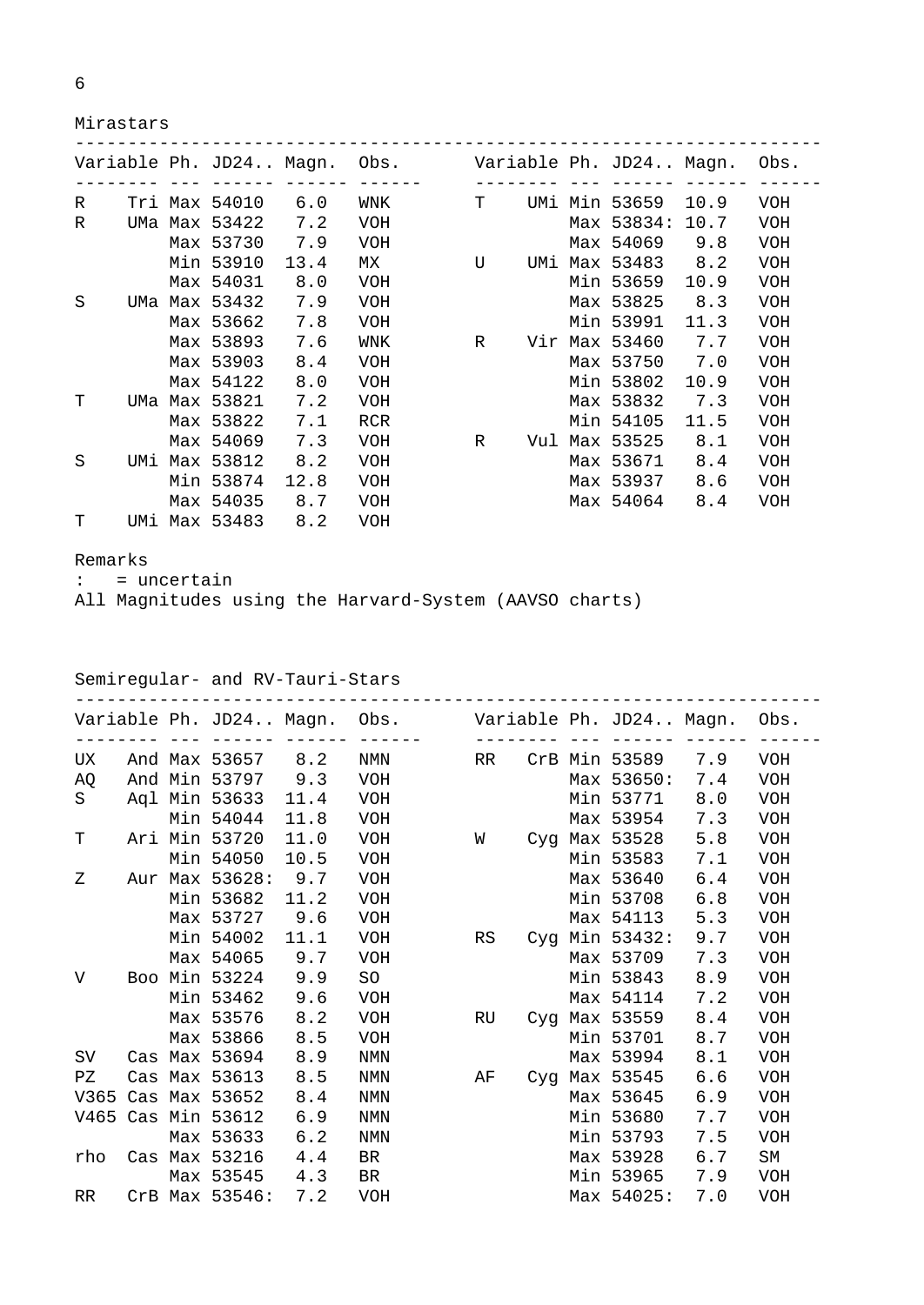|   | I       |   |  |  |
|---|---------|---|--|--|
|   |         | I |  |  |
| w | I<br>۰. |   |  |  |

Mirastars

|   |  |               |      | Variable Ph. JD24 Magn. Obs. |   |  | Variable Ph. JD24 Magn. |      | Obs.       |
|---|--|---------------|------|------------------------------|---|--|-------------------------|------|------------|
| R |  | Tri Max 54010 | 6.0  | WNK                          | т |  | UMi Min 53659           | 10.9 | <b>VOH</b> |
| R |  | UMa Max 53422 | 7.2  | <b>VOH</b>                   |   |  | Max 53834:              | 10.7 | <b>VOH</b> |
|   |  | Max 53730     | 7.9  | <b>VOH</b>                   |   |  | Max 54069               | 9.8  | <b>VOH</b> |
|   |  | Min 53910     | 13.4 | MX                           | U |  | UMi Max 53483           | 8.2  | <b>VOH</b> |
|   |  | Max 54031     | 8.0  | <b>VOH</b>                   |   |  | Min 53659               | 10.9 | <b>VOH</b> |
| S |  | UMa Max 53432 | 7.9  | <b>VOH</b>                   |   |  | Max 53825               | 8.3  | VOH        |
|   |  | Max 53662     | 7.8  | <b>VOH</b>                   |   |  | Min 53991               | 11.3 | <b>VOH</b> |
|   |  | Max 53893     | 7.6  | WNK                          | R |  | Vir Max 53460           | 7.7  | <b>VOH</b> |
|   |  | Max 53903     | 8.4  | <b>VOH</b>                   |   |  | Max 53750               | 7.0  | <b>VOH</b> |
|   |  | Max 54122     | 8.0  | <b>VOH</b>                   |   |  | Min 53802               | 10.9 | VOH        |
| T |  | UMa Max 53821 | 7.2  | <b>VOH</b>                   |   |  | Max 53832               | 7.3  | <b>VOH</b> |
|   |  | Max 53822     | 7.1  | <b>RCR</b>                   |   |  | Min 54105               | 11.5 | <b>VOH</b> |
|   |  | Max 54069     | 7.3  | <b>VOH</b>                   | R |  | Vul Max 53525           | 8.1  | <b>VOH</b> |
| S |  | UMi Max 53812 | 8.2  | <b>VOH</b>                   |   |  | Max 53671               | 8.4  | VOH        |
|   |  | Min 53874     | 12.8 | <b>VOH</b>                   |   |  | Max 53937               | 8.6  | VOH        |
|   |  | Max 54035     | 8.7  | <b>VOH</b>                   |   |  | Max 54064               | 8.4  | <b>VOH</b> |
| т |  | UMi Max 53483 | 8.2  | <b>VOH</b>                   |   |  |                         |      |            |

Remarks

: = uncertain

All Magnitudes using the Harvard-System (AAVSO charts)

## Semiregular- and RV-Tauri-Stars

|     |  |                    |      | Variable Ph. JD24 Magn. Obs. Variable Ph. JD24 Magn. Obs. |    |  |                   |     |            |
|-----|--|--------------------|------|-----------------------------------------------------------|----|--|-------------------|-----|------------|
| UX. |  | And Max 53657 8.2  |      | NMN NOW NOTES                                             | RR |  | CrB Min 53589 7.9 |     | <b>VOH</b> |
| AO. |  | And Min 53797      | 9.3  | <b>VOH</b>                                                |    |  | Max 53650:        | 7.4 | <b>VOH</b> |
| S   |  | Agl Min 53633      | 11.4 | VOH                                                       |    |  | Min 53771         | 8.0 | VOH        |
|     |  | Min 54044          | 11.8 | VOH                                                       |    |  | Max 53954         | 7.3 | <b>VOH</b> |
| Т   |  | Ari Min 53720      | 11.0 | VOH                                                       | W  |  | Cyg Max 53528     | 5.8 | <b>VOH</b> |
|     |  | Min 54050          | 10.5 | VOH                                                       |    |  | Min 53583         | 7.1 | VOH        |
| Z   |  | Aur Max 53628:     | 9.7  | VOH                                                       |    |  | Max 53640         | 6.4 | <b>VOH</b> |
|     |  | Min 53682          | 11.2 | VOH                                                       |    |  | Min 53708         | 6.8 | <b>VOH</b> |
|     |  | Max 53727          | 9.6  | VOH                                                       |    |  | Max 54113         | 5.3 | <b>VOH</b> |
|     |  | Min 54002          | 11.1 | VOH                                                       | RS |  | Cyg Min 53432:    | 9.7 | VOH        |
|     |  | Max 54065          | 9.7  | <b>VOH</b>                                                |    |  | Max 53709         | 7.3 | <b>VOH</b> |
| V   |  | Boo Min 53224      | 9.9  | <b>SO</b>                                                 |    |  | Min 53843         | 8.9 | VOH        |
|     |  | Min 53462          | 9.6  | <b>VOH</b>                                                |    |  | Max 54114         | 7.2 | <b>VOH</b> |
|     |  | Max 53576          | 8.2  | <b>VOH</b>                                                | RU |  | Cyg Max 53559     | 8.4 | <b>VOH</b> |
|     |  | Max 53866          | 8.5  | VOH                                                       |    |  | Min 53701         | 8.7 | <b>VOH</b> |
| SV. |  | Cas Max 53694      | 8.9  | <b>NMN</b>                                                |    |  | Max 53994         | 8.1 | <b>VOH</b> |
| PZ  |  | Cas Max 53613      | 8.5  | <b>NMN</b>                                                | AF |  | Cyg Max 53545     | 6.6 | <b>VOH</b> |
|     |  | V365 Cas Max 53652 | 8.4  | <b>NMN</b>                                                |    |  | Max 53645         | 6.9 | <b>VOH</b> |
|     |  | V465 Cas Min 53612 | 6.9  | <b>NMN</b>                                                |    |  | Min 53680         | 7.7 | VOH        |
|     |  | Max 53633          | 6.2  | <b>NMN</b>                                                |    |  | Min 53793         | 7.5 | <b>VOH</b> |
| rho |  | Cas Max 53216      | 4.4  | BR                                                        |    |  | Max 53928         | 6.7 | <b>SM</b>  |
|     |  | Max 53545          | 4.3  | BR                                                        |    |  | Min 53965         | 7.9 | <b>VOH</b> |
| RR. |  | CrB Max 53546:     | 7.2  | VOH                                                       |    |  | Max 54025:        | 7.0 | <b>VOH</b> |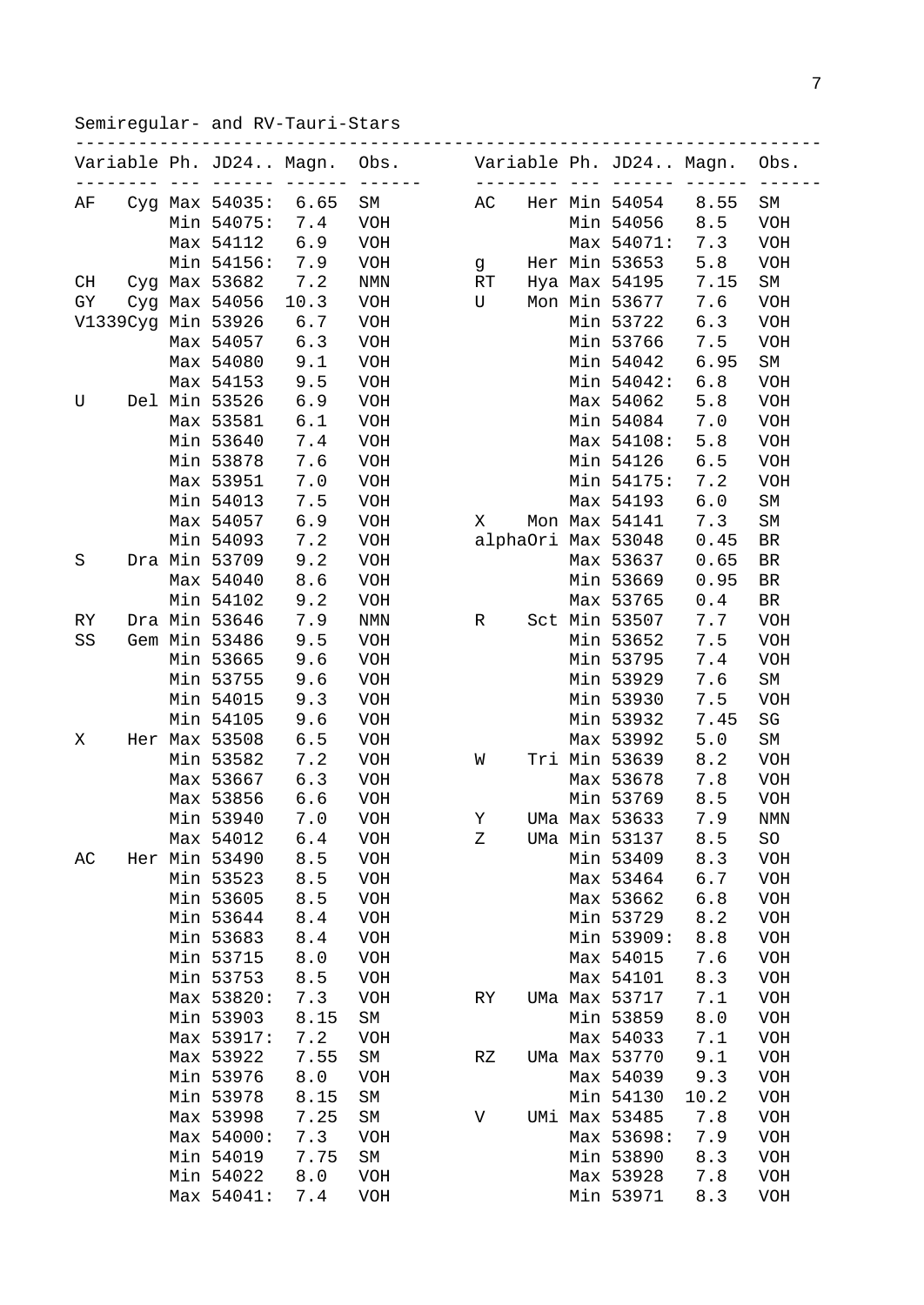Semiregular- and RV-Tauri-Stars

|    |  |                         | ------------------ |                   |           |  |                         |      |            |
|----|--|-------------------------|--------------------|-------------------|-----------|--|-------------------------|------|------------|
|    |  | Variable Ph. JD24 Magn. |                    | Obs.<br>$- - - -$ | $- -$     |  | Variable Ph. JD24 Magn. |      | Obs.       |
| ΑF |  | Cyg Max 54035:          | 6.65               | SM                | АC        |  | Her Min 54054           | 8.55 | SΜ         |
|    |  | Min 54075:              | 7.4                | <b>VOH</b>        |           |  | Min 54056               | 8.5  | <b>VOH</b> |
|    |  | Max 54112               | 6.9                | <b>VOH</b>        |           |  | Max 54071:              | 7.3  | <b>VOH</b> |
|    |  | Min 54156:              | 7.9                | <b>VOH</b>        | g         |  | Her Min 53653           | 5.8  | <b>VOH</b> |
| CH |  | Cyg Max 53682           | 7.2                | NMN               | RT        |  | Hya Max 54195           | 7.15 | SΜ         |
| GY |  | Cyg Max 54056           | 10.3               | <b>VOH</b>        | U         |  | Mon Min 53677           | 7.6  | <b>VOH</b> |
|    |  | V1339Cyg Min 53926      | 6.7                | <b>VOH</b>        |           |  | Min 53722               | 6.3  | <b>VOH</b> |
|    |  | Max 54057               | 6.3                | <b>VOH</b>        |           |  | Min 53766               | 7.5  | <b>VOH</b> |
|    |  | Max 54080               | 9.1                | <b>VOH</b>        |           |  | Min 54042               | 6.95 | SM         |
|    |  | Max 54153               | 9.5                | <b>VOH</b>        |           |  | Min 54042:              | 6.8  | <b>VOH</b> |
| U  |  | Del Min 53526           | 6.9                | <b>VOH</b>        |           |  | Max 54062               | 5.8  | <b>VOH</b> |
|    |  | Max 53581               | 6.1                | <b>VOH</b>        |           |  | Min 54084               | 7.0  | <b>VOH</b> |
|    |  | Min 53640               | 7.4                | <b>VOH</b>        |           |  | Max 54108:              | 5.8  | <b>VOH</b> |
|    |  | Min 53878               | 7.6                | <b>VOH</b>        |           |  | Min 54126               | 6.5  | <b>VOH</b> |
|    |  | Max 53951               | 7.0                | <b>VOH</b>        |           |  | Min 54175:              | 7.2  | <b>VOH</b> |
|    |  | Min 54013               | 7.5                | <b>VOH</b>        |           |  | Max 54193               | 6.0  | SM         |
|    |  | Max 54057               | 6.9                | <b>VOH</b>        | X         |  | Mon Max 54141           | 7.3  | SΜ         |
|    |  | Min 54093               | 7.2                | <b>VOH</b>        |           |  | alphaOri Max 53048      | 0.45 | BR         |
| S  |  | Dra Min 53709           | 9.2                | <b>VOH</b>        |           |  | Max 53637               | 0.65 | <b>BR</b>  |
|    |  | Max 54040               | 8.6                | <b>VOH</b>        |           |  | Min 53669               | 0.95 | <b>BR</b>  |
|    |  |                         | 9.2                |                   |           |  |                         |      |            |
|    |  | Min 54102               |                    | <b>VOH</b>        |           |  | Max 53765               | 0.4  | <b>BR</b>  |
| RY |  | Dra Min 53646           | 7.9                | NMN               | R         |  | Sct Min 53507           | 7.7  | <b>VOH</b> |
| SS |  | Gem Min 53486           | 9.5                | <b>VOH</b>        |           |  | Min 53652               | 7.5  | VOH        |
|    |  | Min 53665               | 9.6                | <b>VOH</b>        |           |  | Min 53795               | 7.4  | VOH        |
|    |  | Min 53755               | 9.6                | <b>VOH</b>        |           |  | Min 53929               | 7.6  | SΜ         |
|    |  | Min 54015               | 9.3                | <b>VOH</b>        |           |  | Min 53930               | 7.5  | <b>VOH</b> |
|    |  | Min 54105               | 9.6                | <b>VOH</b>        |           |  | Min 53932               | 7.45 | SG         |
| Χ  |  | Her Max 53508           | 6.5                | <b>VOH</b>        |           |  | Max 53992               | 5.0  | SΜ         |
|    |  | Min 53582               | 7.2                | <b>VOH</b>        | W         |  | Tri Min 53639           | 8.2  | VOH        |
|    |  | Max 53667               | 6.3                | <b>VOH</b>        |           |  | Max 53678               | 7.8  | VOH        |
|    |  | Max 53856               | 6.6                | <b>VOH</b>        |           |  | Min 53769               | 8.5  | VOH        |
|    |  | Min 53940               | 7.0                | <b>VOH</b>        | Υ         |  | UMa Max 53633           | 7.9  | NMN        |
|    |  | Max 54012               | 6.4                | <b>VOH</b>        | Ζ         |  | UMa Min 53137           | 8.5  | SO         |
| AC |  | Her Min 53490           | 8.5                | <b>VOH</b>        |           |  | Min 53409               | 8.3  | VOH        |
|    |  | Min 53523               | 8.5                | <b>VOH</b>        |           |  | Max 53464               | 6.7  | <b>VOH</b> |
|    |  | Min 53605               | 8.5                | <b>VOH</b>        |           |  | Max 53662               | 6.8  | VOH        |
|    |  | Min 53644               | 8.4                | <b>VOH</b>        |           |  | Min 53729               | 8.2  | <b>VOH</b> |
|    |  | Min 53683               | 8.4                | <b>VOH</b>        |           |  | Min 53909:              | 8.8  | VOH        |
|    |  | Min 53715               | 8.0                | <b>VOH</b>        |           |  | Max 54015               | 7.6  | <b>VOH</b> |
|    |  | Min 53753               | 8.5                | <b>VOH</b>        |           |  | Max 54101               | 8.3  | <b>VOH</b> |
|    |  | Max 53820:              | 7.3                | <b>VOH</b>        | <b>RY</b> |  | UMa Max 53717           | 7.1  | VOH        |
|    |  | Min 53903               | 8.15               | SM                |           |  | Min 53859               | 8.0  | VOH        |
|    |  | Max 53917:              | 7.2                | <b>VOH</b>        |           |  | Max 54033               | 7.1  | <b>VOH</b> |
|    |  | Max 53922               | 7.55               | SM                | RZ        |  | UMa Max 53770           | 9.1  | <b>VOH</b> |
|    |  | Min 53976               | 8.0                | <b>VOH</b>        |           |  | Max 54039               | 9.3  | VOH        |
|    |  | Min 53978               | 8.15               | SM                |           |  | Min 54130               | 10.2 | VOH        |
|    |  | Max 53998               | 7.25               | SM                | V         |  | UMi Max 53485           | 7.8  | VOH        |
|    |  | Max 54000:              | 7.3                | <b>VOH</b>        |           |  | Max 53698:              | 7.9  | <b>VOH</b> |
|    |  | Min 54019               | 7.75               | SM                |           |  | Min 53890               | 8.3  | <b>VOH</b> |
|    |  | Min 54022               | 8.0                | <b>VOH</b>        |           |  | Max 53928               | 7.8  | VOH        |
|    |  | Max 54041:              | 7.4                | <b>VOH</b>        |           |  | Min 53971               | 8.3  | <b>VOH</b> |
|    |  |                         |                    |                   |           |  |                         |      |            |